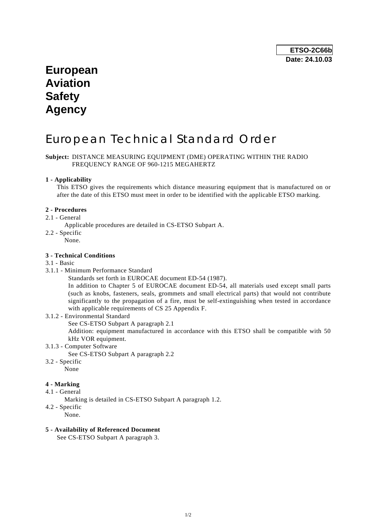# **European Aviation Safety Agency**

# European Technical Standard Order

### **Subject:** DISTANCE MEASURING EQUIPMENT (DME) OPERATING WITHIN THE RADIO FREQUENCY RANGE OF 960-1215 MEGAHERTZ

### **1 - Applicability**

 This ETSO gives the requirements which distance measuring equipment that is manufactured on or after the date of this ETSO must meet in order to be identified with the applicable ETSO marking.

#### **2 - Procedures**

- 2.1 General
	- Applicable procedures are detailed in CS-ETSO Subpart A.
- 2.2 Specific
	- None.

#### **3 - Technical Conditions**

#### 3.1 - Basic

- 3.1.1 Minimum Performance Standard
	- Standards set forth in EUROCAE document ED-54 (1987).

 In addition to Chapter 5 of EUROCAE document ED-54, all materials used except small parts (such as knobs, fasteners, seals, grommets and small electrical parts) that would not contribute significantly to the propagation of a fire, must be self-extinguishing when tested in accordance with applicable requirements of CS 25 Appendix F.

3.1.2 - Environmental Standard

See CS-ETSO Subpart A paragraph 2.1

 Addition: equipment manufactured in accordance with this ETSO shall be compatible with 50 kHz VOR equipment.

- 3.1.3 Computer Software
	- See CS-ETSO Subpart A paragraph 2.2
- 3.2 Specific

## None

#### **4 - Marking**

- 4.1 General
	- Marking is detailed in CS-ETSO Subpart A paragraph 1.2.
- 4.2 Specific
	- None.

#### **5 - Availability of Referenced Document**

See CS-ETSO Subpart A paragraph 3.